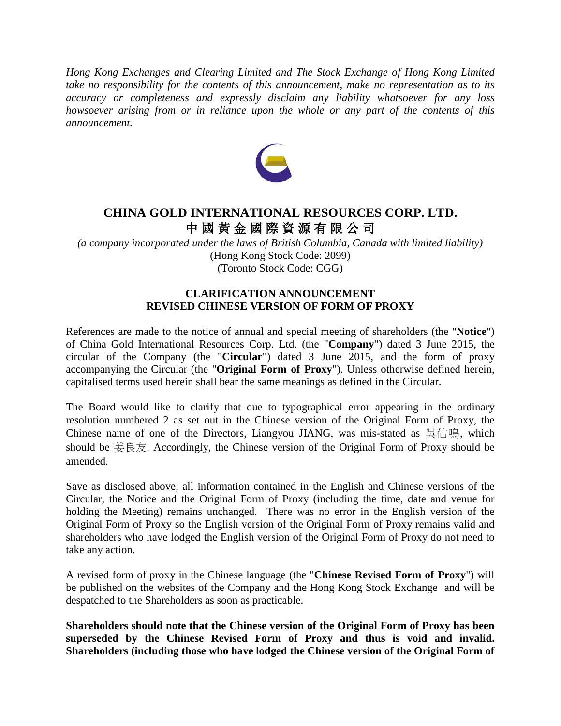*Hong Kong Exchanges and Clearing Limited and The Stock Exchange of Hong Kong Limited take no responsibility for the contents of this announcement, make no representation as to its accuracy or completeness and expressly disclaim any liability whatsoever for any loss howsoever arising from or in reliance upon the whole or any part of the contents of this announcement.* 



## **CHINA GOLD INTERNATIONAL RESOURCES CORP. LTD.** 中 國 黃 金 國 際 資 源 有 限 公 司

*(a company incorporated under the laws of British Columbia, Canada with limited liability)* (Hong Kong Stock Code: 2099) (Toronto Stock Code: CGG)

## **CLARIFICATION ANNOUNCEMENT REVISED CHINESE VERSION OF FORM OF PROXY**

References are made to the notice of annual and special meeting of shareholders (the "**Notice**") of China Gold International Resources Corp. Ltd. (the "**Company**") dated 3 June 2015, the circular of the Company (the "**Circular**") dated 3 June 2015, and the form of proxy accompanying the Circular (the "**Original Form of Proxy**"). Unless otherwise defined herein, capitalised terms used herein shall bear the same meanings as defined in the Circular.

The Board would like to clarify that due to typographical error appearing in the ordinary resolution numbered 2 as set out in the Chinese version of the Original Form of Proxy, the Chinese name of one of the Directors, Liangyou JIANG, was mis-stated as 吳佔鳴, which should be  $\# \& \overline{\otimes} \times$ . Accordingly, the Chinese version of the Original Form of Proxy should be amended.

Save as disclosed above, all information contained in the English and Chinese versions of the Circular, the Notice and the Original Form of Proxy (including the time, date and venue for holding the Meeting) remains unchanged. There was no error in the English version of the Original Form of Proxy so the English version of the Original Form of Proxy remains valid and shareholders who have lodged the English version of the Original Form of Proxy do not need to take any action.

A revised form of proxy in the Chinese language (the "**Chinese Revised Form of Proxy**") will be published on the websites of the Company and the Hong Kong Stock Exchange and will be despatched to the Shareholders as soon as practicable.

**Shareholders should note that the Chinese version of the Original Form of Proxy has been superseded by the Chinese Revised Form of Proxy and thus is void and invalid. Shareholders (including those who have lodged the Chinese version of the Original Form of**